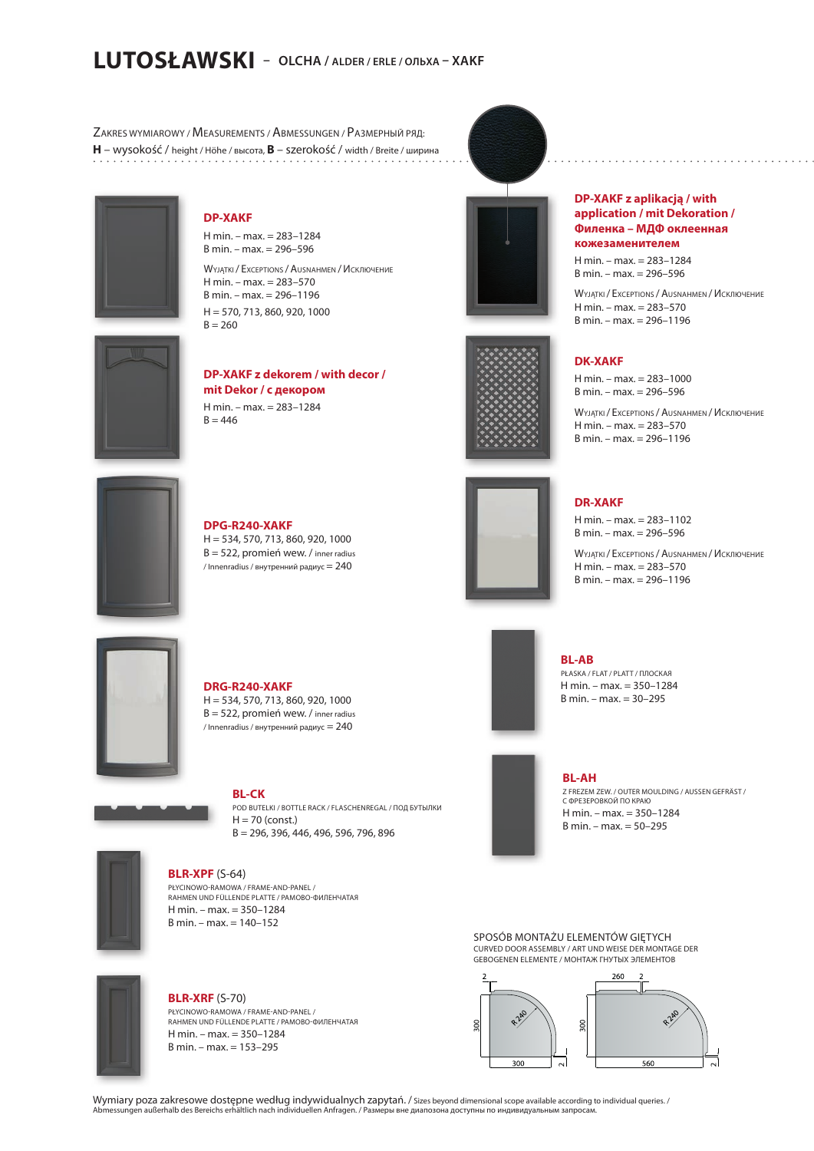# **LUTOSŁAWSKI – OLCHA / ALDER / ERLE / ОЛЬХА – XAKF**

ZAKRES WYMIAROWY / MEASUREMENTS / ABMESSUNGEN / PАЗМЕРНЫЙ РЯД: **H** – wysokość / height / Höhe / высота, **B** – szerokość / width / Breite / ширина



**DP-XAKF**

H min. – max. = 283–1284 B min. – max. = 296–596

WYJĄTKI / EXCEPTIONS / AUSNAHMEN / Исключение  $H min - max = 283 - 570$ B min. – max. = 296–1196  $H = 570, 713, 860, 920, 1000$  $B = 260$ 



**DP-XAKF z dekorem / with decor / mit Dekor / с декором** H min. – max. = 283–1284  $B = 446$ 





H min. – max. = 283–1284  $B \text{ min.} - \text{max.} = 296 - 596$ 

WYJATKI / EXCEPTIONS / AUSNAHMEN / ИСКЛЮЧЕНИЕ H min. – max. = 283–570  $B \text{ min} - \text{max} = 296 - 1196$ 

### **DK-XAKF**

H min. – max. = 283–1000 B min. – max. = 296–596

WYJATKI / EXCEPTIONS / AUSNAHMEN / ИСКЛЮЧЕНИЕ H min. – max. = 283–570 B min. – max. = 296–1196



**DPG-R240-XAKF** H = 534, 570, 713, 860, 920, 1000 B = 522, promień wew. / inner radius / Innenradius / внутренний радиус  $= 240$ 



**DR-XAKF**

 $H min - max = 283 - 1102$ B min. – max. = 296–596

WYJATKI / EXCEPTIONS / AUSNAHMEN / ИСКЛЮЧЕНИЕ H min. – max. = 283–570 B min. – max. = 296–1196



**DRG-R240-XAKF**

H = 534, 570, 713, 860, 920, 1000 B = 522, promień wew. / inner radius / Innenradius / внутренний радиус  $= 240$ 

#### **BL-CK**

POD BUTELKI / BOTTLE RACK / FLASCHENREGAL / ПОД БУТЫЛКИ  $H = 70$  (const.) B = 296, 396, 446, 496, 596, 796, 896



**BLR-XPF** (S-64)

PŁYCINOWO-RAMOWA / FRAME-AND-PANEL / RAHMEN UND FÜLLENDE PLATTE / РАМОВО-ФИЛЕНЧАТАЯ H min. – max. = 350–1284 B min. – max. = 140–152



**BLR-XRF** (S-70) PŁYCINOWO-RAMOWA / FRAME-AND-PANEL / RAHMEN UND FÜLLENDE PLATTE / РАМОВО-ФИЛЕНЧАТАЯ  $H \text{ min} = \text{max} = 350 - 1284$ B min. – max. = 153–295

SPOSÓB MONTAŻU ELEMENTÓW GIETYCH

CURVED DOOR ASSEMBLY / ART UND WEISE DER MONTAGE DER GEBOGENEN ELEMENTE / МОНТАЖ ГНУТЫХ ЭЛЕМЕНТОВ



Wymiary poza zakresowe dostępne według indywidualnych zapytań. / Sizes beyond dimensional scope available according to individual queries. / Abmessungen außerhalb des Bereichs erhältlich nach individuellen Anfragen. / Размеры вне диапозона доступны по индивидуальным запросам.



**BL-AB**

**BL-AH**

С ФРЕЗЕРОВКОЙ ПО КРАЮ H min. – max. = 350–1284  $B \text{ min.} - \text{max.} = 50 - 295$ 

PŁASKA / FLAT / PLATT / ПЛОСКАЯ H min. – max. = 350–1284 B min. – max. = 30–295

Z FREZEM ZEW. / OUTER MOULDING / AUSSEN GEFRÄST /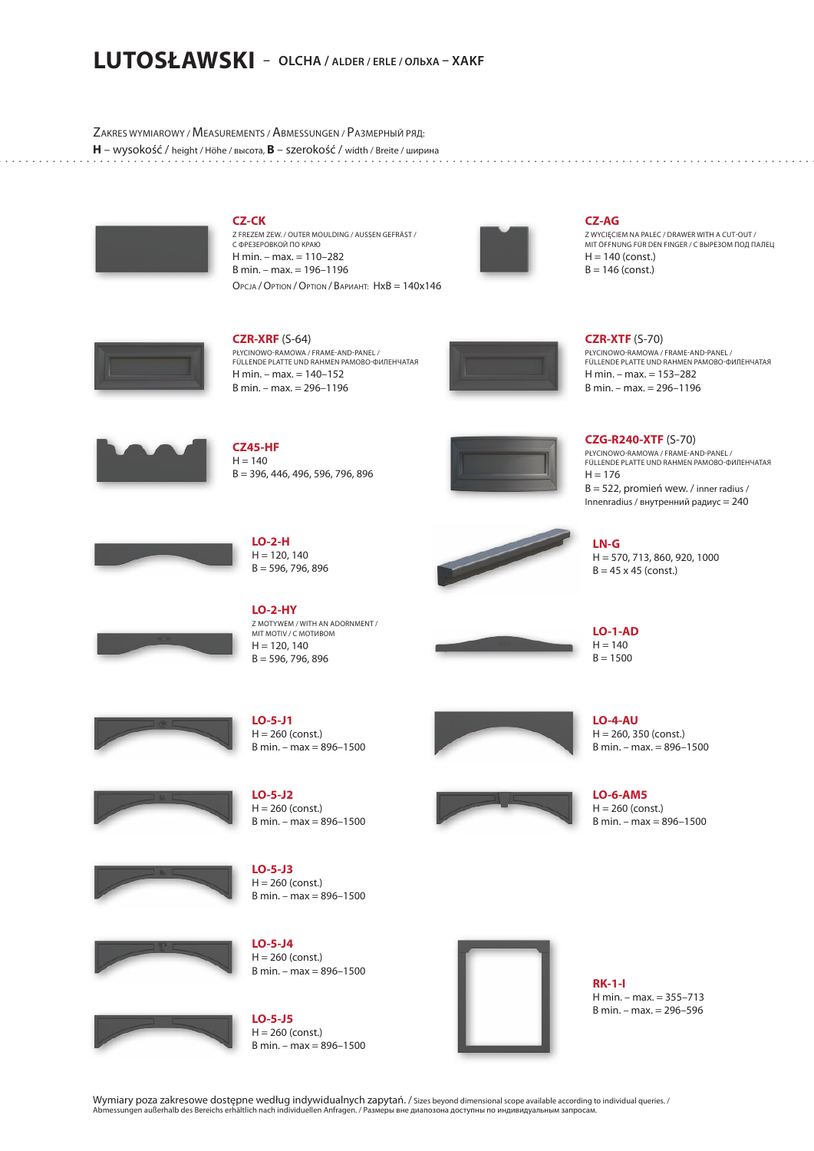### **LUTOSŁAWSKI – OLCHA / ALDER / ERLE / ОЛЬХА – XAKF**

ZAKRES WYMIAROWY / MEASUREMENTS / ABMESSUNGEN / PАЗМЕРНЫЙ РЯД: **H** – wysokość / height / Höhe / высота, **B** – szerokość / width / Breite / ширина



**CZ-CK** Z FREZEM ZEW. / OUTER MOULDING / AUSSEN GEFRÄST / С ФРЕЗЕРОВКОЙ ПО КРАЮ H min. – max. = 110–282 B min. – max. = 196–1196 OPCJA /OPTION /OPTION / ВАРИАНТ: HxB = 140x146



**CZ-AG** Z WYCIĘCIEM NA PALEC / DRAWER WITH A CUT-OUT / MIT ÖFFNUNG FÜR DEN FINGER / С ВЫРЕЗОМ ПОД ПАЛЕЦ  $H = 140$  (const.)  $B = 146$  (const.)



**CZR-XRF** (S-64) PŁYCINOWO-RAMOWA / FRAME-AND-PANEL / FÜLLENDE PLATTE UND RAHMEN РАМОВО-ФИЛЕНЧАТАЯ H min. – max. = 140–152 B min. – max. = 296–1196



**CZR-XTF** (S-70) PŁYCINOWO-RAMOWA / FRAME-AND-PANEL / FÜLLENDE PLATTE UND RAHMEN РАМОВО-ФИЛЕНЧАТАЯ H min. – max. = 153–282 B min. – max. = 296–1196



**CZ45-HF**  $H = 140$ B = 396, 446, 496, 596, 796, 896

> **LO-2-H**  $H = 120, 140$  $B = 596, 796, 896$



**CZG-R240-XTF** (S-70) PŁYCINOWO-RAMOWA / FRAME-AND-PANEL / FÜLLENDE PLATTE UND RAHMEN РАМОВО-ФИЛЕНЧАТАЯ  $H = 176$  $B = 522$ , promień wew. / inner radius / Innenradius / внутренний радиус = 240

H = 570, 713, 860, 920, 1000  $B = 45 \times 45$  (const.)





**LO-2-HY** Z MOTYWEM / WITH AN ADORNMENT / MIT MOTIV / C MOTIABOM  $H = 120, 140$ 

 $B = 596, 796, 896$ 











**LO-5-J1**  $H = 260$  (const.) B min. – max = 896–1500

**LO-5-J2**  $H = 260$  (const.) B min. – max = 896–1500

**LO-5-J3**  $H = 260$  (const.) B min. – max = 896–1500



**LO-5-J5**  $H = 260$  (const.) B min. – max = 896–1500



**RK-1-I** H min. – max. = 355–713 B min. – max. = 296–596

Wymiary poza zakresowe dostępne według indywidualnych zapytań. / Sizes beyond dimensional scope available according to individual queries. / Abmessungen außerhalb des Bereichs erhältlich nach individuellen Anfragen. / Размеры вне диапозона доступны по индивидуальным запросам.





**LO-4-AU**  $H = 260, 350$  (const.) B min. – max. = 896–1500

**LN-G**

**LO-1-AD**  $H = 140$  $B = 1500$ 

**LO-6-AM5**  $H = 260$  (const.) B min. – max = 896–1500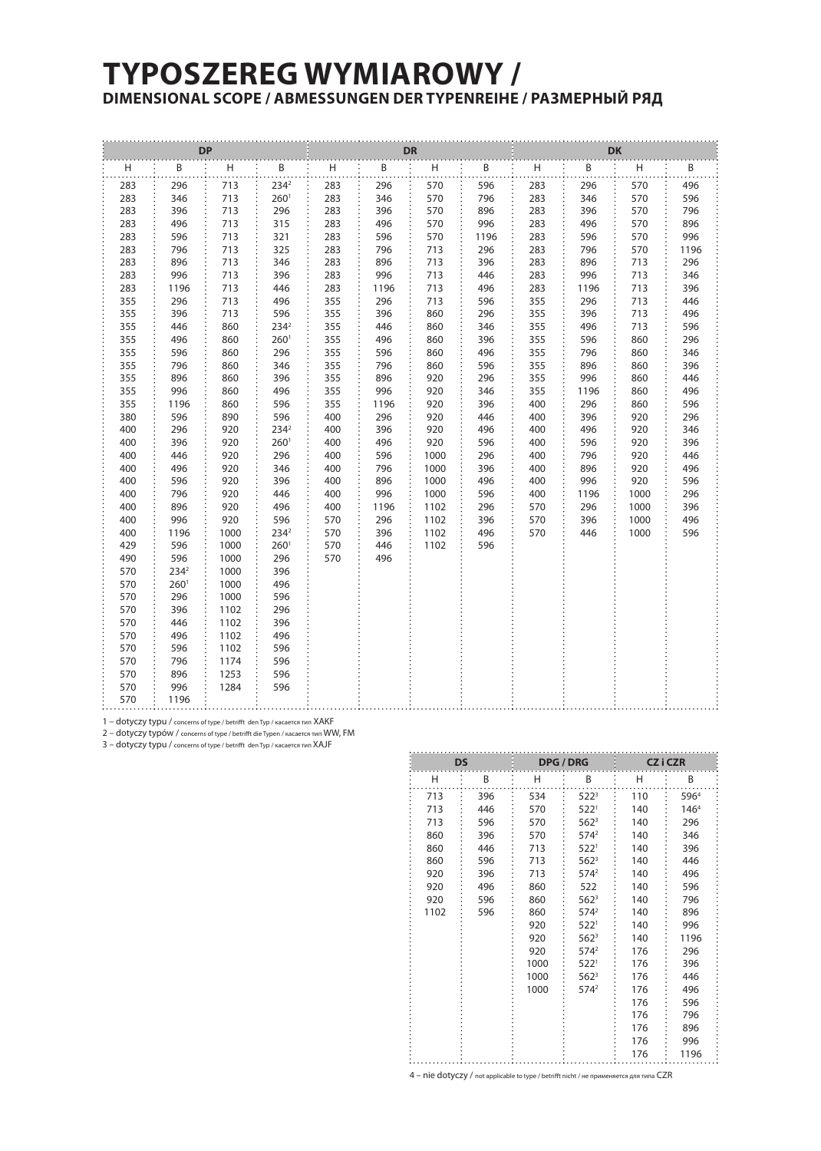## **TYPOSZEREG WYMIAROWY / DIMENSIONAL SCOPE / ABMESSUNGEN DER TYPENREIHE / РАЗМЕРНЫЙ РЯД**

| <b>DP</b>  |                  |                           |                          | <b>DR</b>  |            |              |            | <b>DK</b> |      |      |      |  |  |
|------------|------------------|---------------------------|--------------------------|------------|------------|--------------|------------|-----------|------|------|------|--|--|
| Η          | $\mathbf{B}$     | $\boldsymbol{\mathsf{H}}$ | B                        | Н          | B          | H            | B          | H         | B    | H    | B    |  |  |
| 283        | 296              | 713                       | $234^2$                  | 283        | 296        | 570          | 596        | 283       | 296  | 570  | 496  |  |  |
| 283        | 346              | 713                       | 260 <sup>1</sup>         | 283        | 346        | 570          | 796        | 283       | 346  | 570  | 596  |  |  |
| 283        | 396              | 713                       | 296                      | 283        | 396        | 570          | 896        | 283       | 396  | 570  | 796  |  |  |
| 283        | 496              | 713                       | 315                      | 283        | 496        | 570          | 996        | 283       | 496  | 570  | 896  |  |  |
| 283        | 596              | 713                       | 321                      | 283        | 596        | 570          | 1196       | 283       | 596  | 570  | 996  |  |  |
| 283        | 796              | 713                       | 325                      | 283        | 796        | 713          | 296        | 283       | 796  | 570  | 1196 |  |  |
| 283        | 896              | 713                       | 346                      | 283        | 896        | 713          | 396        | 283       | 896  | 713  | 296  |  |  |
| 283        | 996              | 713                       | 396                      | 283        | 996        | 713          | 446        | 283       | 996  | 713  | 346  |  |  |
| 283        | 1196             | 713                       | 446                      | 283        | 1196       | 713          | 496        | 283       | 1196 | 713  | 396  |  |  |
| 355        | 296              | 713                       | 496                      | 355        | 296        | 713          | 596        | 355       | 296  | 713  | 446  |  |  |
| 355        | 396              | 713                       | 596                      | 355        | 396        | 860          | 296        | 355       | 396  | 713  | 496  |  |  |
| 355        | 446              | 860                       | 2342                     | 355        | 446        | 860          | 346        | 355       | 496  | 713  | 596  |  |  |
| 355        | 496              | 860                       | 260 <sup>1</sup>         | 355        | 496        | 860          | 396        | 355       | 596  | 860  | 296  |  |  |
| 355        | 596              | 860                       | 296                      | 355        | 596        | 860          | 496        | 355       | 796  | 860  | 346  |  |  |
| 355        | 796              | 860                       | 346                      | 355        | 796        | 860          | 596        | 355       | 896  | 860  | 396  |  |  |
| 355        | 896              | 860                       | 396                      | 355        | 896        | 920          | 296        | 355       | 996  | 860  | 446  |  |  |
| 355        | 996              | 860                       | 496                      | 355        | 996        | 920          | 346        | 355       | 1196 | 860  | 496  |  |  |
| 355        | 1196             | 860                       | 596                      | 355        | 1196       | 920          | 396        | 400       | 296  | 860  | 596  |  |  |
| 380        | 596              | 890                       | 596                      | 400        | 296        | 920          | 446        | 400       | 396  | 920  | 296  |  |  |
| 400        | 296              | 920                       | 2342                     | 400        | 396        | 920          | 496        | 400       | 496  | 920  | 346  |  |  |
| 400        | 396              | 920                       | 260 <sup>1</sup>         | 400        | 496        | 920          | 596        | 400       | 596  | 920  | 396  |  |  |
| 400        | 446              | 920                       | 296                      | 400        | 596        | 1000         | 296        | 400       | 796  | 920  | 446  |  |  |
| 400        | 496              | 920                       | 346                      | 400        | 796        | 1000         | 396        | 400       | 896  | 920  | 496  |  |  |
| 400        | 596              | 920                       | 396                      | 400        | 896        | 1000         | 496        | 400       | 996  | 920  | 596  |  |  |
| 400        | 796              | 920                       | 446                      | 400        | 996        | 1000         | 596        | 400       | 1196 | 1000 | 296  |  |  |
| 400        | 896              | 920                       | 496                      | 400        | 1196       | 1102         | 296        | 570       | 296  | 1000 | 396  |  |  |
| 400        | 996              | 920                       | 596                      | 570        | 296        | 1102         | 396        | 570       | 396  | 1000 | 496  |  |  |
| 400<br>429 | 1196<br>596      | 1000<br>1000              | 2342<br>260 <sup>1</sup> | 570<br>570 | 396<br>446 | 1102<br>1102 | 496<br>596 | 570       | 446  | 1000 | 596  |  |  |
| 490        | 596              | 1000                      | 296                      | 570        | 496        |              |            |           |      |      |      |  |  |
| 570        | $234^2$          | 1000                      | 396                      |            |            |              |            |           |      |      |      |  |  |
| 570        | 260 <sup>1</sup> | 1000                      | 496                      |            |            |              |            |           |      |      |      |  |  |
| 570        | 296              | 1000                      | 596                      |            |            |              |            |           |      |      |      |  |  |
| 570        | 396              | 1102                      | 296                      |            |            |              |            |           |      |      |      |  |  |
| 570        | 446              | 1102                      | 396                      |            |            |              |            |           |      |      |      |  |  |
| 570        | 496              | 1102                      | 496                      |            |            |              |            |           |      |      |      |  |  |
| 570        | 596              | 1102                      | 596                      |            |            |              |            |           |      |      |      |  |  |
| 570        | 796              | 1174                      | 596                      |            |            |              |            |           |      |      |      |  |  |
| 570        | 896              | 1253                      | 596                      |            |            |              |            |           |      |      |      |  |  |
| 570        | 996              | 1284                      | 596                      |            |            |              |            |           |      |      |      |  |  |
| 570        | 1196             |                           |                          |            |            |              |            |           |      |      |      |  |  |

1 – dotyczy typu / concerns of type / betrifft den Typ / касается тип XAKF

2 – dotyczy typów / concerns of type / betrifft die Typen / касается тип WW, FM

3 – dotyczy typu / concerns of type / betrifft den Typ / касается тип XAJF

|      | <b>DS</b> |      | <b>DPG / DRG</b> | CZ i CZR |                  |  |
|------|-----------|------|------------------|----------|------------------|--|
| Н    | Β         | н    | Β                | н        | B                |  |
| 713  | 396       | 534  | 522 <sup>3</sup> | 110      | 5964             |  |
| 713  | 446       | 570  | 522 <sup>1</sup> | 140      | 146 <sup>4</sup> |  |
| 713  | 596       | 570  | $562^3$          | 140      | 296              |  |
| 860  | 396       | 570  | 574 <sup>2</sup> | 140      | 346              |  |
| 860  | 446       | 713  | 522 <sup>1</sup> | 140      | 396              |  |
| 860  | 596       | 713  | $562^3$          | 140      | 446              |  |
| 920  | 396       | 713  | $574^2$          | 140      | 496              |  |
| 920  | 496       | 860  | 522              | 140      | 596              |  |
| 920  | 596       | 860  | $562^3$          | 140      | 796              |  |
| 1102 | 596       | 860  | 574 <sup>2</sup> | 140      | 896              |  |
|      |           | 920  | 522 <sup>1</sup> | 140      | 996              |  |
|      |           | 920  | $562^3$          | 140      | 1196             |  |
|      |           | 920  | 574 <sup>2</sup> | 176      | 296              |  |
|      |           | 1000 | 522 <sup>1</sup> | 176      | 396              |  |
|      |           | 1000 | $562^3$          | 176      | 446              |  |
|      |           | 1000 | 574 <sup>2</sup> | 176      | 496              |  |
|      |           |      |                  | 176      | 596              |  |
|      |           |      |                  | 176      | 796              |  |
|      |           |      |                  | 176      | 896              |  |
|      |           |      |                  | 176      | 996              |  |
|      |           |      |                  | 176      | 1196             |  |

4 – nie dotyczy / not applicable to type / betrifft nicht / не применяется для типa CZR